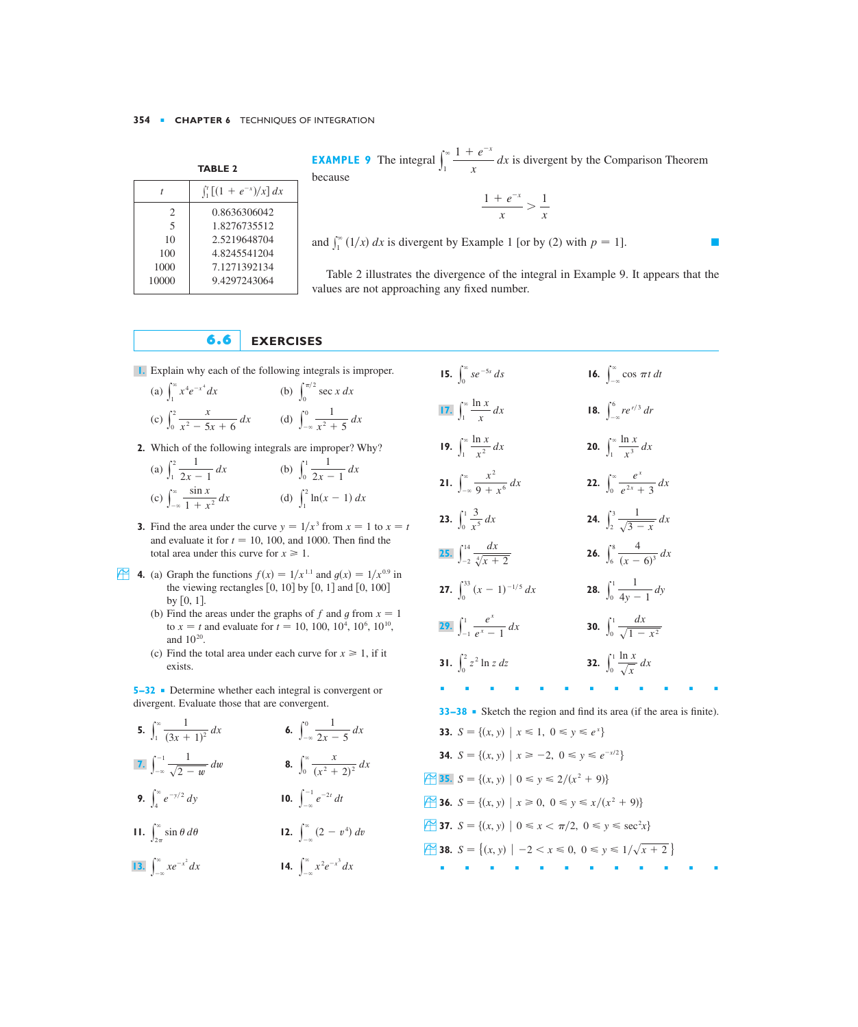| <b>TABLE 2</b>              |                                    |  |
|-----------------------------|------------------------------------|--|
|                             | $\int_{1}^{t} [(1 + e^{-x})/x] dx$ |  |
| $\mathcal{D}_{\mathcal{L}}$ | 0.8636306042                       |  |
| $\overline{5}$              | 1.8276735512                       |  |
| 10                          | 2.5219648704                       |  |
| 100                         | 4.8245541204                       |  |
| 1000                        | 7.1271392134                       |  |
| 10000                       | 9.4297243064                       |  |

**EXAMPLE 9** The integral  $\int_1^{\infty} \frac{1+e^{-x}}{x} dx$  is divergent by the Comparison Theorem because

$$
\frac{1+e^{-x}}{x} > \frac{1}{x}
$$

and  $\int_1^{\infty} (1/x) dx$  is divergent by Example 1 [or by (2) with  $p = 1$ ].

15.  $\int_{-\infty}^{\infty}$  se<sup>-5s</sup> ds

Table 2 illustrates the divergence of the integral in Example 9. It appears that the values are not approaching any fixed number.

## 6.6 **EXERCISES**

**I.** Explain why each of the following integrals is improper.

(a) 
$$
\int_1^{\infty} x^4 e^{-x^4} dx
$$
  
\n(b)  $\int_0^{\pi/2} \sec x dx$   
\n(c)  $\int_0^2 \frac{x}{x^2 - 5x + 6} dx$   
\n(d)  $\int_{-\infty}^0 \frac{1}{x^2 + 5} dx$ 

2. Which of the following integrals are improper? Why?

(a) 
$$
\int_{1}^{2} \frac{1}{2x - 1} dx
$$
  
\n(b)  $\int_{0}^{1} \frac{1}{2x - 1} dx$   
\n(c)  $\int_{-\infty}^{\infty} \frac{\sin x}{1 + x^{2}} dx$   
\n(d)  $\int_{1}^{2} \ln(x - 1) dx$ 

- 3. Find the area under the curve  $y = 1/x^3$  from  $x = 1$  to  $x = t$ and evaluate it for  $t = 10$ , 100, and 1000. Then find the total area under this curve for  $x \ge 1$ .
- 4. (a) Graph the functions  $f(x) = 1/x^{1.1}$  and  $g(x) = 1/x^{0.9}$  in the viewing rectangles [0, 10] by [0, 1] and [0, 100] by  $[0, 1]$ .
	- (b) Find the areas under the graphs of f and g from  $x = 1$ to  $x = t$  and evaluate for  $t = 10, 100, 10^4, 10^6, 10^{10}$ , and  $10^{20}$ .
	- (c) Find the total area under each curve for  $x \ge 1$ , if it exists.

 $5-32$  • Determine whether each integral is convergent or divergent. Evaluate those that are convergent.

**5.** 
$$
\int_{1}^{\infty} \frac{1}{(3x+1)^2} dx
$$
  
\n**6.**  $\int_{-\infty}^{0} \frac{1}{2x-5} dx$   
\n**7.**  $\int_{-\infty}^{-1} \frac{1}{\sqrt{2-w}} dw$   
\n**8.**  $\int_{0}^{\infty} \frac{x}{(x^2+2)^2} dx$   
\n**9.**  $\int_{4}^{\infty} e^{-y/2} dy$   
\n**10.**  $\int_{-\infty}^{-1} e^{-2t} dt$   
\n**11.**  $\int_{2\pi}^{\infty} \sin \theta d\theta$   
\n**12.**  $\int_{-\infty}^{\infty} (2-v^4) dv$ 

**13.** 
$$
\int_{-\infty}^{\infty} x e^{-x^2} dx
$$
**14.** 
$$
\int_{-\infty}^{\infty} x^2 e^{-x^3} dx
$$

|                                                      | $\mathbb{L}$                                        |
|------------------------------------------------------|-----------------------------------------------------|
| 17. $\int_1^\infty \frac{\ln x}{x} dx$               | <b>18.</b> $\int_{a}^{6} re^{r/3} dr$               |
| 19. $\int_{1}^{\infty} \frac{\ln x}{x^2} dx$         | <b>20.</b> $\int_{1}^{\infty} \frac{\ln x}{x^3} dx$ |
| 21. $\int_{-\infty}^{\infty} \frac{x^2}{9 + x^6} dx$ | <b>22.</b> $\int_0^\infty \frac{e^x}{e^{2x}+3} dx$  |
| <b>23.</b> $\int_{0}^{1} \frac{3}{x^5} dx$           | <b>24.</b> $\int_{2}^{3} \frac{1}{\sqrt{3-x}} dx$   |
| <b>25.</b> $\int_{-2}^{14} \frac{dx}{\sqrt[4]{x+2}}$ | <b>26.</b> $\int_{6}^{8} \frac{4}{(x-6)^3} dx$      |
| <b>27.</b> $\int_{0}^{33} (x-1)^{-1/5} dx$           | <b>28.</b> $\int_0^1 \frac{1}{4v-1} dy$             |
| <b>29.</b> $\int_{-1}^{1} \frac{e^x}{e^x - 1} dx$    | <b>30.</b> $\int_0^1 \frac{dx}{\sqrt{1-x^2}}$       |
| <b>31.</b> $\int_{0}^{2} z^2 \ln z \, dz$            | <b>32.</b> $\int_0^1 \frac{\ln x}{\sqrt{x}} dx$     |
|                                                      |                                                     |

16.  $\int_{\infty}^{\infty} \cos \pi t dt$ 

 $33-38$  • Sketch the region and find its area (if the area is finite). **33.**  $S = \{(x, y) | x \le 1, 0 \le y \le e^x \}$ **34.**  $S = \{(x, y) | x \ge -2, 0 \le y \le e^{-x/2}\}\$ **135.**  $S = \{(x, y) | 0 \le y \le 2/(x^2 + 9)\}$ **136.**  $S = \{(x, y) | x \ge 0, 0 \le y \le x/(x^2 + 9)\}\$ **17.**  $S = \{(x, y) | 0 \le x < \pi/2, 0 \le y \le \sec^2 x\}$ **138.**  $S = \{(x, y) | -2 < x \le 0, 0 \le y \le 1/\sqrt{x+2} \}$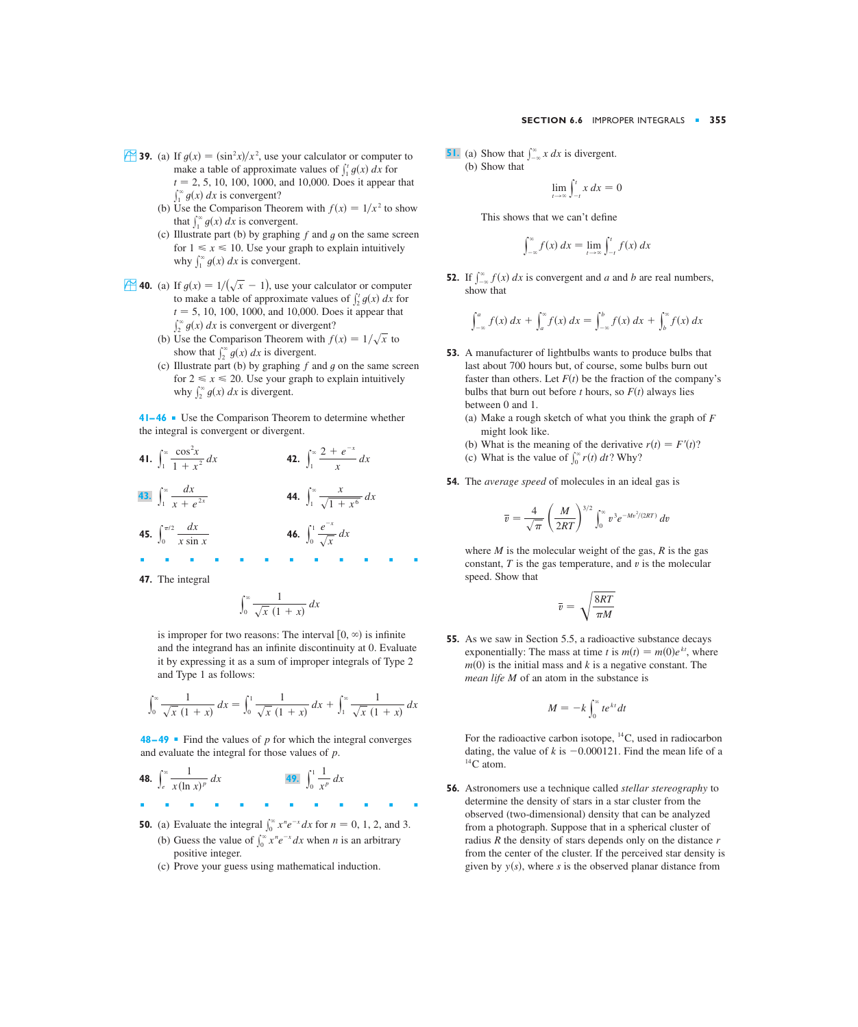- **39.** (a) If  $g(x) = (\sin^2 x)/x^2$ , use your calculator or computer to **51.** (a) Show that  $\int_{-\infty}^{\infty} x \, dx$ make a table of approximate values of  $\int_1^t g(x) dx$  for  $t = 2, 5, 10, 100, 1000,$  and 10,000. Does it appear that  $\int_1^{\infty} g(x) dx$  is convergent?
	- (b) Use the Comparison Theorem with  $f(x) = 1/x^2$  to show that  $\int_1^{\infty} g(x) dx$  is convergent.
	- (c) Illustrate part (b) by graphing  $f$  and  $g$  on the same screen for  $1 \leq x \leq 10$ . Use your graph to explain intuitively why  $\int_1^{\infty} g(x) dx$  is convergent.
- **40.** (a) If  $g(x) = 1/(\sqrt{x} 1)$ , use your calculator or computer to make a table of approximate values of  $\int_2^t g(x) dx$  for  $t = 5, 10, 100, 1000,$  and 10,000. Does it appear that  $\int_2^{\infty} g(x) dx$  is convergent or divergent?
	- (b) Use the Comparison Theorem with  $f(x) = 1/\sqrt{x}$  to show that  $\int_2^{\infty} g(x) dx$  is divergent.
	- (c) Illustrate part (b) by graphing  $f$  and  $g$  on the same screen for  $2 \leq x \leq 20$ . Use your graph to explain intuitively why  $\int_2^{\infty} g(x) dx$  is divergent.

**41– 46** ■ Use the Comparison Theorem to determine whether the integral is convergent or divergent.

**41.** 
$$
\int_{1}^{\infty} \frac{\cos^{2}x}{1 + x^{2}} dx
$$
  
\n**42.**  $\int_{1}^{\infty} \frac{2 + e^{-x}}{x} dx$   
\n**43.**  $\int_{1}^{\infty} \frac{dx}{x + e^{2x}}$   
\n**44.**  $\int_{1}^{\infty} \frac{x}{\sqrt{1 + x^{6}}} dx$   
\n**45.**  $\int_{0}^{\pi/2} \frac{dx}{x \sin x}$   
\n**46.**  $\int_{0}^{1} \frac{e^{-x}}{\sqrt{x}} dx$ 

**47.** The integral

$$
\int_0^\infty \frac{1}{\sqrt{x} \ (1+x)} \, dx
$$

is improper for two reasons: The interval  $[0, \infty)$  is infinite and the integrand has an infinite discontinuity at 0. Evaluate it by expressing it as a sum of improper integrals of Type 2 and Type 1 as follows:

$$
\int_0^\infty \frac{1}{\sqrt{x}(1+x)} dx = \int_0^1 \frac{1}{\sqrt{x}(1+x)} dx + \int_1^\infty \frac{1}{\sqrt{x}(1+x)} dx
$$

**48–49** • Find the values of  $p$  for which the integral converges and evaluate the integral for those values of  $p$ .

**48.** 
$$
\int_{e}^{\infty} \frac{1}{x(\ln x)^p} dx
$$
  
\n**49.** 
$$
\int_{0}^{1} \frac{1}{x^p} dx
$$

- **50.** (a) Evaluate the integral  $\int_0^{\infty} x^n e^{-x} dx$  for  $n = 0, 1, 2$ , and 3.
	- (b) Guess the value of  $\int_0^\infty x^n e^{-x} dx$  when *n* is an arbitrary positive integer.
	- (c) Prove your guess using mathematical induction.

(a) Show that  $\int_{-\infty}^{\infty} x \, dx$  is divergent. (b) Show that

$$
\lim_{t\to\infty}\int_{-t}^t x\,dx=0
$$

This shows that we can't define

$$
\int_{-\infty}^{\infty} f(x) \, dx = \lim_{t \to \infty} \int_{-t}^{t} f(x) \, dx
$$

**52.** If  $\int_{-\infty}^{\infty} f(x) dx$  is convergent and a and b are real numbers, show that

$$
\int_{-\infty}^{a} f(x) \, dx + \int_{a}^{\infty} f(x) \, dx = \int_{-\infty}^{b} f(x) \, dx + \int_{b}^{\infty} f(x) \, dx
$$

- **53.** A manufacturer of lightbulbs wants to produce bulbs that last about 700 hours but, of course, some bulbs burn out faster than others. Let  $F(t)$  be the fraction of the company's bulbs that burn out before *t* hours, so  $F(t)$  always lies between 0 and 1.
	- (a) Make a rough sketch of what you think the graph of *F* might look like.
	- (b) What is the meaning of the derivative  $r(t) = F'(t)$ ?
	- (c) What is the value of  $\int_0^\infty r(t) dt$ ? Why?
- **54.** The *average speed* of molecules in an ideal gas is

$$
\bar{v} = \frac{4}{\sqrt{\pi}} \left(\frac{M}{2RT}\right)^{3/2} \int_0^{\infty} v^3 e^{-Mv^2/(2RT)} dv
$$

where  $M$  is the molecular weight of the gas,  $R$  is the gas constant,  $T$  is the gas temperature, and  $v$  is the molecular speed. Show that

$$
\bar{v}=\sqrt{\frac{8RT}{\pi M}}
$$

**55.** As we saw in Section 5.5, a radioactive substance decays exponentially: The mass at time *t* is  $m(t) = m(0)e^{kt}$ , where  $m(0)$  is the initial mass and  $k$  is a negative constant. The *mean life* M of an atom in the substance is

$$
M=-k\int_0^\infty te^{kt}dt
$$

For the radioactive carbon isotope,  ${}^{14}C$ , used in radiocarbon dating, the value of  $k$  is  $-0.000121$ . Find the mean life of a  ${}^{14}C$  atom.

**56.** Astronomers use a technique called *stellar stereography* to determine the density of stars in a star cluster from the observed (two-dimensional) density that can be analyzed from a photograph. Suppose that in a spherical cluster of radius  $R$  the density of stars depends only on the distance  $r$ from the center of the cluster. If the perceived star density is given by  $y(s)$ , where s is the observed planar distance from